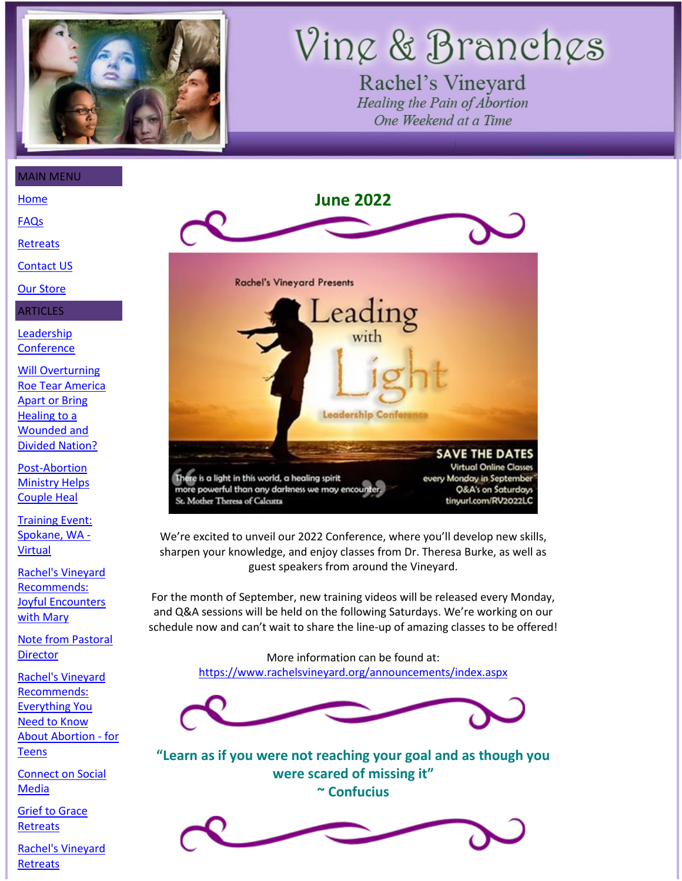

# Vine & Branches

Rachel's Vineyard Healing the Pain of Abortion One Weekend at a Time

[Home](https://www.rachelsvineyard.org/)

[FAQs](https://www.rachelsvineyard.org/qa/forum-list.aspx)

**[Retreats](https://www.rachelsvineyard.org/weekend/sites.aspx)** 

[Contact US](https://www.rachelsvineyard.org/contact/international-headquarters.htm)

[Our Store](https://www.amazon.com/gp/aag/main/ref=olp_merch_name_2?ie=UTF8&asin=096489579X&isAmazonFulfilled=0&seller=A1APB8US3G5ASI)

ARTICLES

[Leadership](#page-0-0)  **[Conference](#page-0-0)** 

[Will Overturning](#page-1-0)  [Roe Tear America](#page-1-0)  [Apart or Bring](#page-1-0)  [Healing to a](#page-1-0)  [Wounded and](#page-1-0)  [Divided Nation?](#page-1-0)

[Post-Abortion](#page-3-0)  [Ministry Helps](#page-3-0)  [Couple Heal](#page-3-0)

[Training Event:](#page-5-0)  [Spokane, WA -](#page-5-0) [Virtual](#page-5-0)

[Rachel's Vineyard](#page-7-0)  [Recommends:](#page-7-0)  [Joyful Encounters](#page-7-0)  [with Mary](#page-7-0)

[Note from Pastoral](#page-7-1)  **[Director](#page-7-1)** 

[Rachel's Vineyard](#page-8-0)  [Recommends:](#page-8-0)  [Everything You](#page-8-0)  [Need to Know](#page-8-0)  [About Abortion -](#page-8-0) for **[Teens](#page-8-0)** 

[Connect on Social](#page-9-0)  [Media](#page-9-0)

[Grief to Grace](#page-11-0)  **[Retreats](#page-11-0)** 

[Rachel's Vineyard](#page-12-0)  **[Retreats](#page-12-0)** 

<span id="page-0-0"></span>

We're excited to unveil our 2022 Conference, where you'll develop new skills, sharpen your knowledge, and enjoy classes from Dr. Theresa Burke, as well as guest speakers from around the Vineyard.

For the month of September, new training videos will be released every Monday, and Q&A sessions will be held on the following Saturdays. We're working on our schedule now and can't wait to share the line-up of amazing classes to be offered!

> More information can be found at: <https://www.rachelsvineyard.org/announcements/index.aspx>



**"Learn as if you were not reaching your goal and as though you were scared of missing it" ~ Confucius**

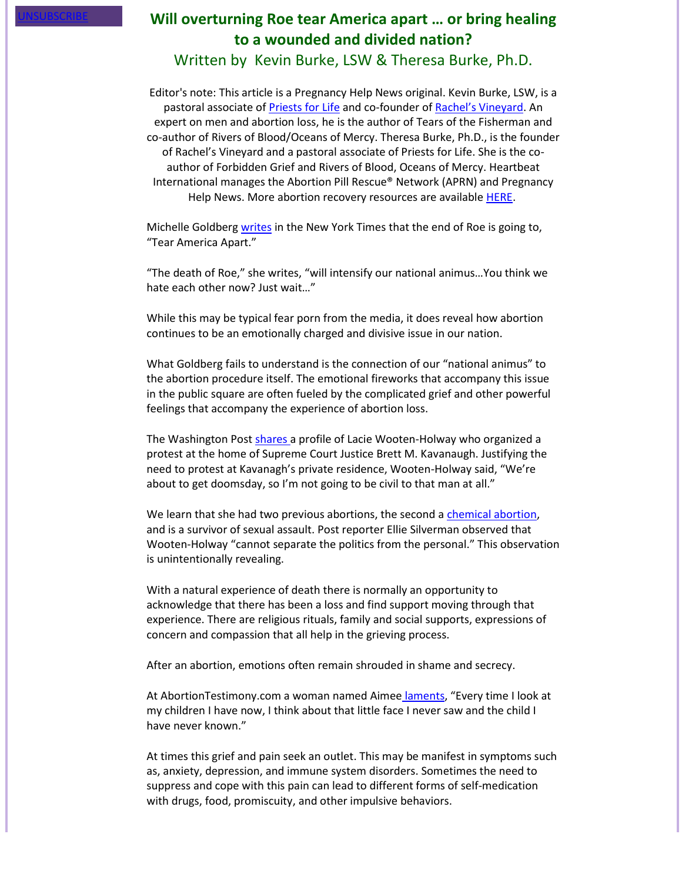## <span id="page-1-0"></span>**Will overturning Roe tear America apart ... or bring healing to a wounded and divided nation?** Written by Kevin Burke, LSW & Theresa Burke, Ph.D.

Editor's note: This article is a Pregnancy Help News original. Kevin Burke, LSW, is a pastoral associate of Priests [for Life](https://www.endabortion.us/) and co-founder of [Rachel's Vineyard](https://rachelsvineyard.org/). An expert on men and abortion loss, he is the author of Tears of the Fisherman and co-author of Rivers of Blood/Oceans of Mercy. Theresa Burke, Ph.D., is the founder of Rachel's Vineyard and a pastoral associate of Priests for Life. She is the coauthor of Forbidden Grief and Rivers of Blood, Oceans of Mercy. Heartbeat International manages the Abortion Pill Rescue® Network (APRN) and Pregnancy Help News. More abortion recovery resources are available [HERE.](https://www.heartbeatinternational.org/stay-connected/life-links#abortionrecovery)

Michelle Goldberg [writes](https://www.nytimes.com/2022/05/06/opinion/roe-abortion-culture-war.html) in the New York Times that the end of Roe is going to, "Tear America Apart."

"The death of Roe," she writes, "will intensify our national animus…You think we hate each other now? Just wait…"

While this may be typical fear porn from the media, it does reveal how abortion continues to be an emotionally charged and divisive issue in our nation.

What Goldberg fails to understand is the connection of our "national animus" to the abortion procedure itself. The emotional fireworks that accompany this issue in the public square are often fueled by the complicated grief and other powerful feelings that accompany the experience of abortion loss.

The Washington Post [shares](https://www.washingtonpost.com/dc-md-va/2022/05/07/wooten-holway-protest-justice-kavanaugh-neighbor/) a profile of Lacie Wooten-Holway who organized a protest at the home of Supreme Court Justice Brett M. Kavanaugh. Justifying the need to protest at Kavanagh's private residence, Wooten-Holway said, "We're about to get doomsday, so I'm not going to be civil to that man at all."

We learn that she had two previous abortions, the second a [chemical abortion,](https://www.priestsforlife.org/kevinburke/blog/index.php/2017/04/11/the-abortion-pill-the-psychological-experience-of-labor-and-delivery-in-the-home/) and is a survivor of sexual assault. Post reporter Ellie Silverman observed that Wooten-Holway "cannot separate the politics from the personal." This observation is unintentionally revealing.

With a natural experience of death there is normally an opportunity to acknowledge that there has been a loss and find support moving through that experience. There are religious rituals, family and social supports, expressions of concern and compassion that all help in the grieving process.

After an abortion, emotions often remain shrouded in shame and secrecy.

At AbortionTestimony.com a woman named Aimee [laments](https://www.silentnomoreawareness.org/testimonies/testimony.aspx?ID=3568), "Every time I look at my children I have now, I think about that little face I never saw and the child I have never known."

At times this grief and pain seek an outlet. This may be manifest in symptoms such as, anxiety, depression, and immune system disorders. Sometimes the need to suppress and cope with this pain can lead to different forms of self-medication with drugs, food, promiscuity, and other impulsive behaviors.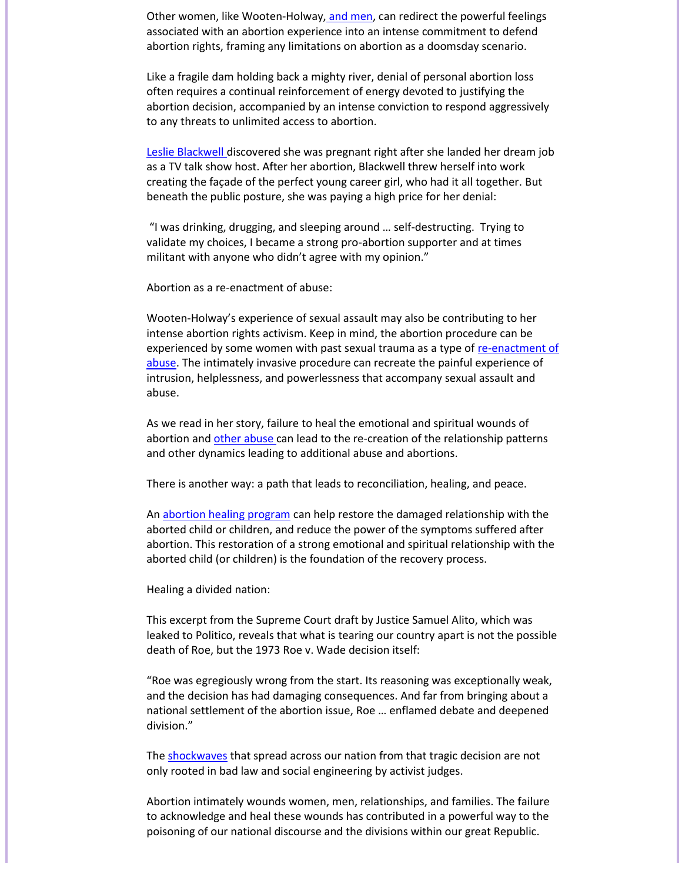Other women, like Wooten-Holway, [and men,](http://tearsofthefisherman.org/) can redirect the powerful feelings associated with an abortion experience into an intense commitment to defend abortion rights, framing any limitations on abortion as a doomsday scenario.

Like a fragile dam holding back a mighty river, denial of personal abortion loss often requires a continual reinforcement of energy devoted to justifying the abortion decision, accompanied by an intense conviction to respond aggressively to any threats to unlimited access to abortion.

[Leslie Blackwell](https://www.silentnomoreawareness.org/testimonies/testimony.aspx?ID=3657) discovered she was pregnant right after she landed her dream job as a TV talk show host. After her abortion, Blackwell threw herself into work creating the façade of the perfect young career girl, who had it all together. But beneath the public posture, she was paying a high price for her denial:

"I was drinking, drugging, and sleeping around … self-destructing. Trying to validate my choices, I became a strong pro-abortion supporter and at times militant with anyone who didn't agree with my opinion."

Abortion as a re-enactment of abuse:

Wooten-Holway's experience of sexual assault may also be contributing to her intense abortion rights activism. Keep in mind, the abortion procedure can be experienced by some women with past sexual trauma as a type of re-enactment of [abuse.](https://www.prolifeproducts.org/forbidden-grief) The intimately invasive procedure can recreate the painful experience of intrusion, helplessness, and powerlessness that accompany sexual assault and abuse.

As we read in her story, failure to heal the emotional and spiritual wounds of abortion and [other abuse](https://grief-to-grace-lsi.squarespace.com/) can lead to the re-creation of the relationship patterns and other dynamics leading to additional abuse and abortions.

There is another way: a path that leads to reconciliation, healing, and peace.

An [abortion healing program](https://www.silentnomoreawareness.org/search/index.aspx) can help restore the damaged relationship with the aborted child or children, and reduce the power of the symptoms suffered after abortion. This restoration of a strong emotional and spiritual relationship with the aborted child (or children) is the foundation of the recovery process.

Healing a divided nation:

This excerpt from the Supreme Court draft by Justice Samuel Alito, which was leaked to Politico, reveals that what is tearing our country apart is not the possible death of Roe, but the 1973 Roe v. Wade decision itself:

"Roe was egregiously wrong from the start. Its reasoning was exceptionally weak, and the decision has had damaging consequences. And far from bringing about a national settlement of the abortion issue, Roe … enflamed debate and deepened division."

The [shockwaves](https://www.silentnomoreawareness.org/shockwaves/default.aspx) that spread across our nation from that tragic decision are not only rooted in bad law and social engineering by activist judges.

Abortion intimately wounds women, men, relationships, and families. The failure to acknowledge and heal these wounds has contributed in a powerful way to the poisoning of our national discourse and the divisions within our great Republic.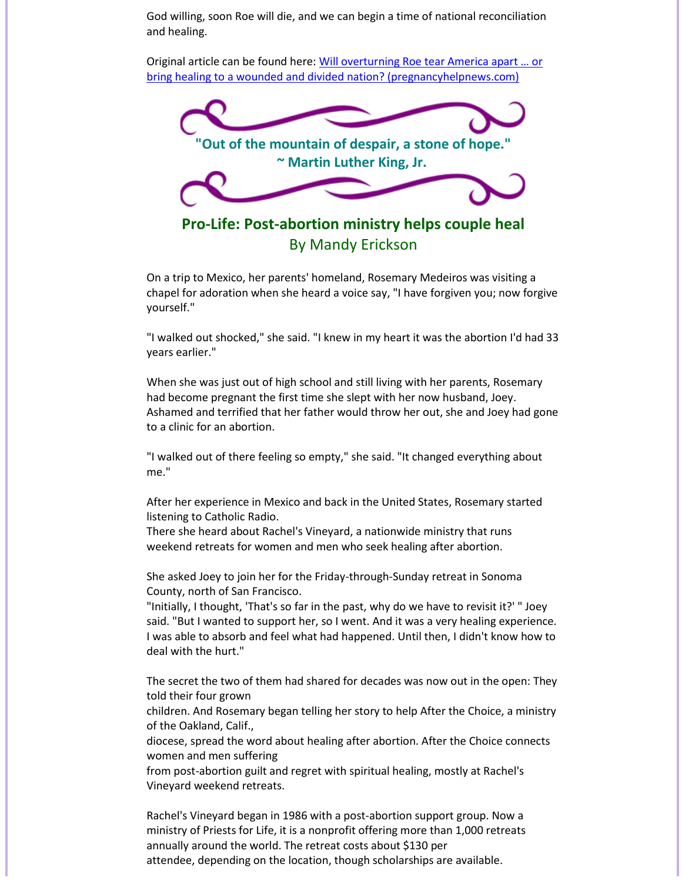God willing, soon Roe will die, and we can begin a time of national reconciliation and healing.

Original article can be found here: [Will overturning Roe tear America](https://pregnancyhelpnews.com/will-overturning-roe-tear-america-apart-or-bring-healing-to-a-wounded-and-divided-nation) apart … or [bring healing to a wounded and divided nation? \(pregnancyhelpnews.com\)](https://pregnancyhelpnews.com/will-overturning-roe-tear-america-apart-or-bring-healing-to-a-wounded-and-divided-nation)



<span id="page-3-0"></span>On a trip to Mexico, her parents' homeland, Rosemary Medeiros was visiting a chapel for adoration when she heard a voice say, "I have forgiven you; now forgive yourself."

"I walked out shocked," she said. "I knew in my heart it was the abortion I'd had 33 years earlier."

When she was just out of high school and still living with her parents, Rosemary had become pregnant the first time she slept with her now husband, Joey. Ashamed and terrified that her father would throw her out, she and Joey had gone to a clinic for an abortion.

"I walked out of there feeling so empty," she said. "It changed everything about me."

After her experience in Mexico and back in the United States, Rosemary started listening to Catholic Radio.

There she heard about Rachel's Vineyard, a nationwide ministry that runs weekend retreats for women and men who seek healing after abortion.

She asked Joey to join her for the Friday-through-Sunday retreat in Sonoma County, north of San Francisco.

"Initially, I thought, 'That's so far in the past, why do we have to revisit it?' " Joey said. "But I wanted to support her, so I went. And it was a very healing experience. I was able to absorb and feel what had happened. Until then, I didn't know how to deal with the hurt."

The secret the two of them had shared for decades was now out in the open: They told their four grown

children. And Rosemary began telling her story to help After the Choice, a ministry of the Oakland, Calif.,

diocese, spread the word about healing after abortion. After the Choice connects women and men suffering

from post-abortion guilt and regret with spiritual healing, mostly at Rachel's Vineyard weekend retreats.

Rachel's Vineyard began in 1986 with a post-abortion support group. Now a ministry of Priests for Life, it is a nonprofit offering more than 1,000 retreats annually around the world. The retreat costs about \$130 per attendee, depending on the location, though scholarships are available.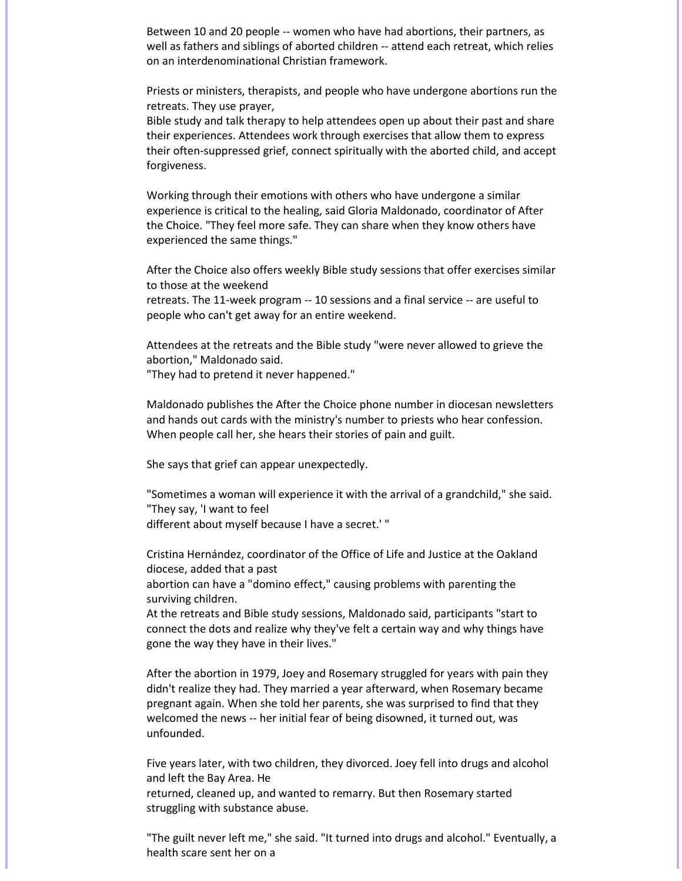Between 10 and 20 people -- women who have had abortions, their partners, as well as fathers and siblings of aborted children -- attend each retreat, which relies on an interdenominational Christian framework.

Priests or ministers, therapists, and people who have undergone abortions run the retreats. They use prayer,

Bible study and talk therapy to help attendees open up about their past and share their experiences. Attendees work through exercises that allow them to express their often-suppressed grief, connect spiritually with the aborted child, and accept forgiveness.

Working through their emotions with others who have undergone a similar experience is critical to the healing, said Gloria Maldonado, coordinator of After the Choice. "They feel more safe. They can share when they know others have experienced the same things."

After the Choice also offers weekly Bible study sessions that offer exercises similar to those at the weekend

retreats. The 11-week program -- 10 sessions and a final service -- are useful to people who can't get away for an entire weekend.

Attendees at the retreats and the Bible study "were never allowed to grieve the abortion," Maldonado said.

"They had to pretend it never happened."

Maldonado publishes the After the Choice phone number in diocesan newsletters and hands out cards with the ministry's number to priests who hear confession. When people call her, she hears their stories of pain and guilt.

She says that grief can appear unexpectedly.

"Sometimes a woman will experience it with the arrival of a grandchild," she said. "They say, 'I want to feel different about myself because I have a secret.' "

Cristina Hernández, coordinator of the Office of Life and Justice at the Oakland diocese, added that a past

abortion can have a "domino effect," causing problems with parenting the surviving children.

At the retreats and Bible study sessions, Maldonado said, participants "start to connect the dots and realize why they've felt a certain way and why things have gone the way they have in their lives."

After the abortion in 1979, Joey and Rosemary struggled for years with pain they didn't realize they had. They married a year afterward, when Rosemary became pregnant again. When she told her parents, she was surprised to find that they welcomed the news -- her initial fear of being disowned, it turned out, was unfounded.

Five years later, with two children, they divorced. Joey fell into drugs and alcohol and left the Bay Area. He

returned, cleaned up, and wanted to remarry. But then Rosemary started struggling with substance abuse.

"The guilt never left me," she said. "It turned into drugs and alcohol." Eventually, a health scare sent her on a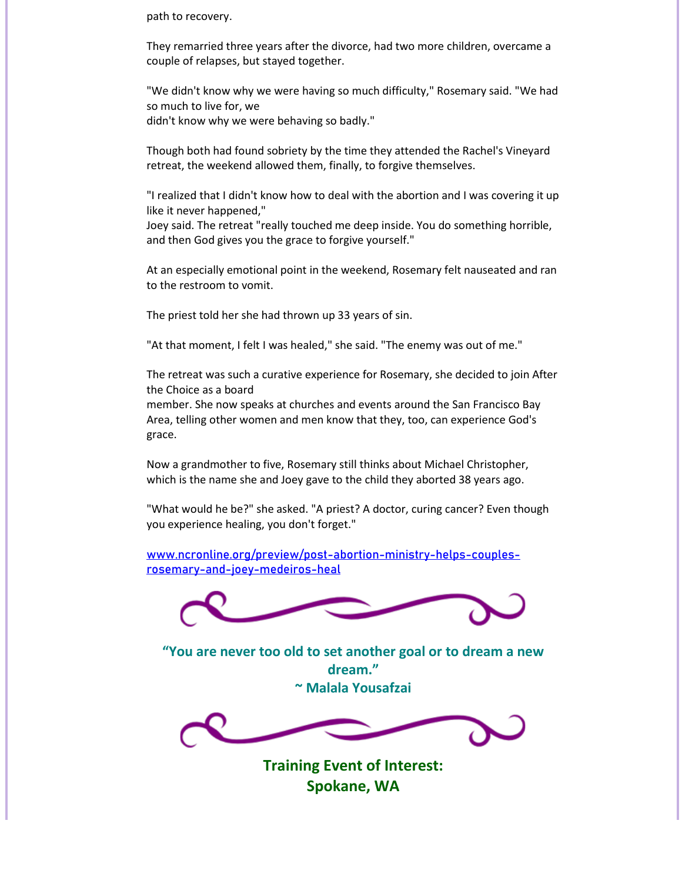path to recovery.

They remarried three years after the divorce, had two more children, overcame a couple of relapses, but stayed together.

"We didn't know why we were having so much difficulty," Rosemary said. "We had so much to live for, we didn't know why we were behaving so badly."

Though both had found sobriety by the time they attended the Rachel's Vineyard retreat, the weekend allowed them, finally, to forgive themselves.

"I realized that I didn't know how to deal with the abortion and I was covering it up like it never happened,"

Joey said. The retreat "really touched me deep inside. You do something horrible, and then God gives you the grace to forgive yourself."

At an especially emotional point in the weekend, Rosemary felt nauseated and ran to the restroom to vomit.

The priest told her she had thrown up 33 years of sin.

"At that moment, I felt I was healed," she said. "The enemy was out of me."

The retreat was such a curative experience for Rosemary, she decided to join After the Choice as a board

member. She now speaks at churches and events around the San Francisco Bay Area, telling other women and men know that they, too, can experience God's grace.

Now a grandmother to five, Rosemary still thinks about Michael Christopher, which is the name she and Joey gave to the child they aborted 38 years ago.

"What would he be?" she asked. "A priest? A doctor, curing cancer? Even though you experience healing, you don't forget."

[www.ncronline.org/preview/post-abortion-ministry-helps-couples](http://www.ncronline.org/preview/post-abortion-ministry-helps-couples-rosemary-and-joey-medeiros-heal)[rosemary-and-joey-medeiros-heal](http://www.ncronline.org/preview/post-abortion-ministry-helps-couples-rosemary-and-joey-medeiros-heal)



**"You are never too old to set another goal or to dream a new dream." ~ Malala Yousafzai**

<span id="page-5-0"></span>

**Training Event of Interest: Spokane, WA**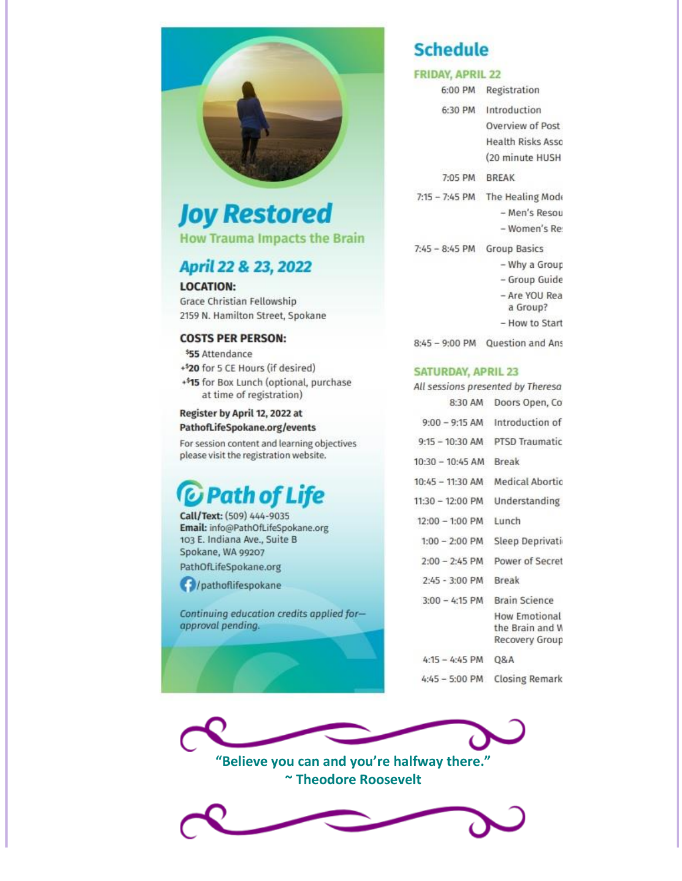

## **Joy Restored**

**How Trauma Impacts the Brain** 

## April 22 & 23, 2022

**LOCATION:** Grace Christian Fellowship 2159 N. Hamilton Street, Spokane

#### **COSTS PER PERSON:**

\$55 Attendance +<sup>\$</sup>20 for 5 CE Hours (if desired) +515 for Box Lunch (optional, purchase at time of registration)

#### Register by April 12, 2022 at PathofLifeSpokane.org/events

For session content and learning objectives please visit the registration website.

## *C* Path of Life

Call/Text: (509) 444-9035 Email: info@PathOfLifeSpokane.org 103 E. Indiana Ave., Suite B Spokane, WA 99207 PathOfLifeSpokane.org

*(b)* /pathoflifespokane

Continuing education credits applied forapproval pending.

## **Schedule**

## **FRIDAY, APRIL 22**

6:00 PM Registration 6:30 PM Introduction Overview of Post **Health Risks Asso** (20 minute HUSH 7:05 PM BREAK 7:15 - 7:45 PM The Healing Mode - Men's Resou - Women's Re 7:45 - 8:45 PM Group Basics - Why a Group - Group Guide - Are YOU Rea a Group? - How to Start 8:45 - 9:00 PM Question and Ans

**SATURDAY, APRIL 23** 

| All sessions presented by Theresa |                                                    |
|-----------------------------------|----------------------------------------------------|
| 8:30 AM                           | Doors Open, Co                                     |
| $9:00 - 9:15$ AM                  | Introduction of                                    |
| $9:15 - 10:30$ AM                 | <b>PTSD Traumatic</b>                              |
| $10:30 - 10:45$ AM                | <b>Break</b>                                       |
| 10:45 - 11:30 AM                  | <b>Medical Abortic</b>                             |
| 11:30 - 12:00 PM                  | Understanding                                      |
| $12:00 - 1:00$ PM                 | Lunch                                              |
| $1:00 - 2:00$ PM                  | Sleep Deprivati                                    |
| $2:00 - 2:45$ PM                  | Power of Secret                                    |
| $2:45 - 3:00$ PM                  | <b>Break</b>                                       |
| $3:00 - 4:15$ PM                  | <b>Brain Science</b>                               |
|                                   | How Emotional<br>the Brain and W<br>Recovery Group |
| $4:15 - 4:45$ PM                  | <b>Q&amp;A</b>                                     |
| $4:45 - 5:00$ PM                  | <b>Closing Remark</b>                              |



**"Believe you can and you're halfway there." ~ Theodore Roosevelt**

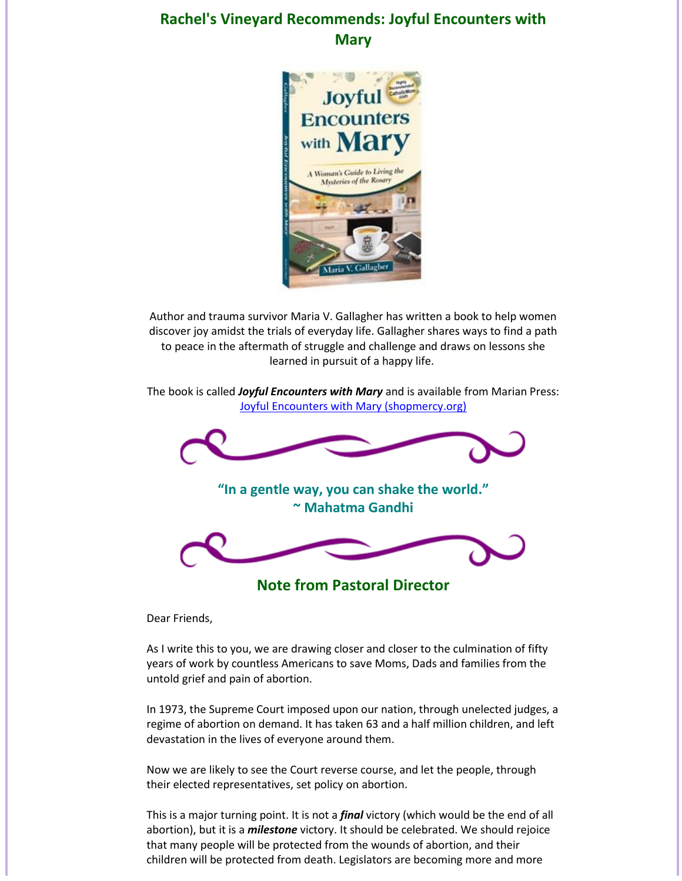## <span id="page-7-0"></span>**Rachel's Vineyard Recommends: Joyful Encounters with Mary**



Author and trauma survivor Maria V. Gallagher has written a book to help women discover joy amidst the trials of everyday life. Gallagher shares ways to find a path to peace in the aftermath of struggle and challenge and draws on lessons she learned in pursuit of a happy life.

The book is called *Joyful Encounters with Mary* and is available from Marian Press: [Joyful Encounters with Mary \(shopmercy.org\)](https://shopmercy.org/joyful-encounters-with-mary-a-woman-s-guide-to-living-the-mysteries-of-the-rosary.html)



**Note from Pastoral Director**

<span id="page-7-1"></span>Dear Friends,

As I write this to you, we are drawing closer and closer to the culmination of fifty years of work by countless Americans to save Moms, Dads and families from the untold grief and pain of abortion.

In 1973, the Supreme Court imposed upon our nation, through unelected judges, a regime of abortion on demand. It has taken 63 and a half million children, and left devastation in the lives of everyone around them.

Now we are likely to see the Court reverse course, and let the people, through their elected representatives, set policy on abortion.

This is a major turning point. It is not a *final* victory (which would be the end of all abortion), but it is a *milestone* victory. It should be celebrated. We should rejoice that many people will be protected from the wounds of abortion, and their children will be protected from death. Legislators are becoming more and more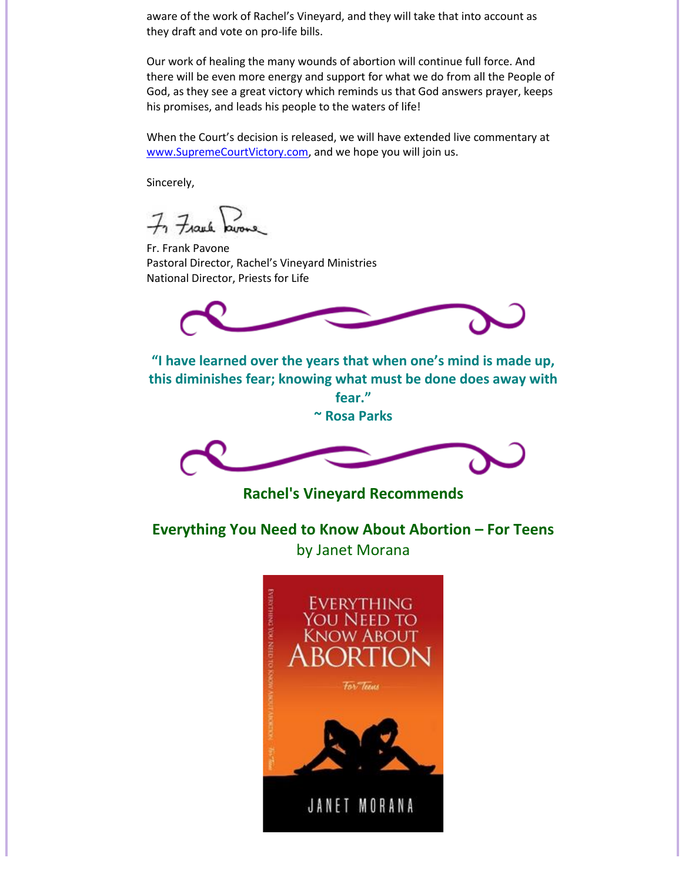aware of the work of Rachel's Vineyard, and they will take that into account as they draft and vote on pro-life bills.

Our work of healing the many wounds of abortion will continue full force. And there will be even more energy and support for what we do from all the People of God, as they see a great victory which reminds us that God answers prayer, keeps his promises, and leads his people to the waters of life!

When the Court's decision is released, we will have extended live commentary at [www.SupremeCourtVictory.com,](http://www.supremecourtvictory.com/) and we hope you will join us.

Sincerely,

 $H$ auk

Fr. Frank Pavone Pastoral Director, Rachel's Vineyard Ministries National Director, Priests for Life



**"I have learned over the years that when one's mind is made up, this diminishes fear; knowing what must be done does away with** 

> **fear." ~ Rosa Parks**



**Rachel's Vineyard Recommends**

<span id="page-8-0"></span>**Everything You Need to Know About Abortion – For Teens** by Janet Morana

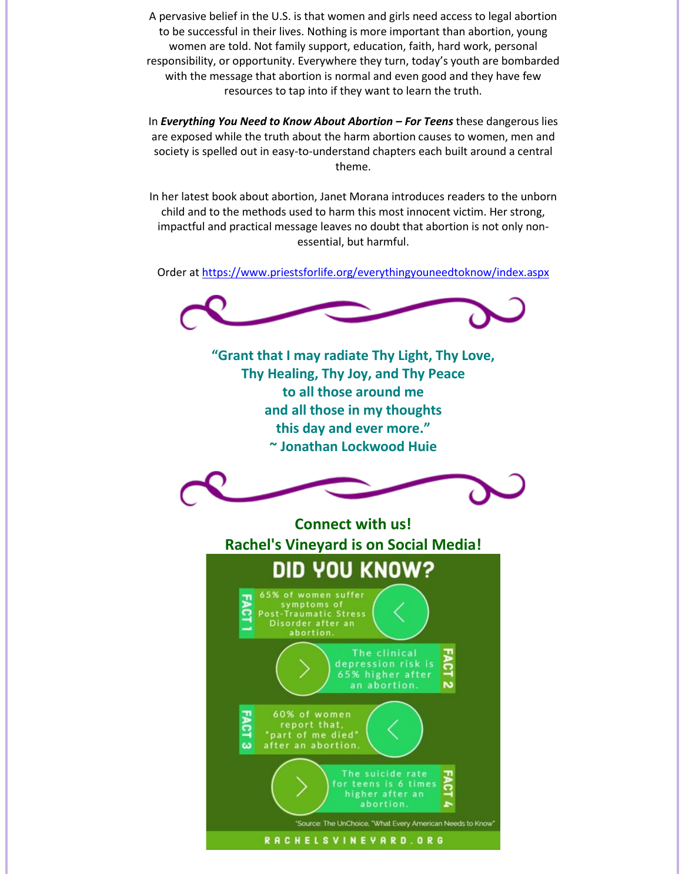A pervasive belief in the U.S. is that women and girls need access to legal abortion to be successful in their lives. Nothing is more important than abortion, young women are told. Not family support, education, faith, hard work, personal responsibility, or opportunity. Everywhere they turn, today's youth are bombarded with the message that abortion is normal and even good and they have few resources to tap into if they want to learn the truth.

In *Everything You Need to Know About Abortion – For Teens* these dangerous lies are exposed while the truth about the harm abortion causes to women, men and society is spelled out in easy-to-understand chapters each built around a central theme.

In her latest book about abortion, Janet Morana introduces readers to the unborn child and to the methods used to harm this most innocent victim. Her strong, impactful and practical message leaves no doubt that abortion is not only nonessential, but harmful.

Order a[t https://www.priestsforlife.org/everythingyouneedtoknow/index.aspx](https://www.priestsforlife.org/everythingyouneedtoknow/index.aspx)



<span id="page-9-0"></span>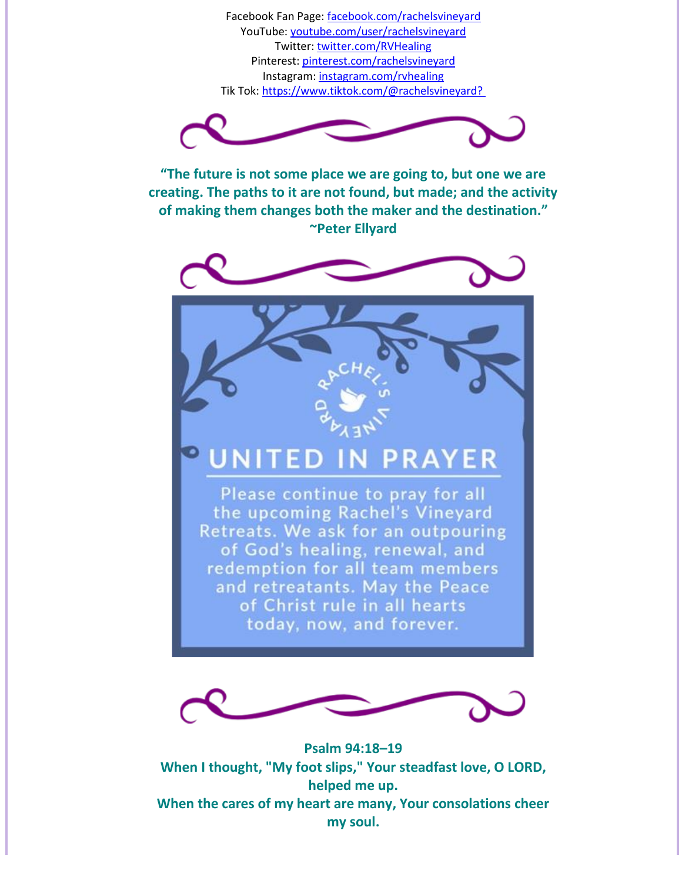Facebook Fan Page: [facebook.com/rachelsvineyard](http://facebook.com/rachelsvineyard) YouTube: [youtube.com/user/rachelsvineyard](http://youtube.com/user/rachelsvineyard) Twitter[: twitter.com/RVHealing](http://twitter.com/RVHealing) Pinterest[: pinterest.com/rachelsvineyard](http://pinterest.com/rachelsvineyard) Instagram: [instagram.com/rvhealing](http://instagram.com/rvhealing) Tik Tok:<https://www.tiktok.com/@rachelsvineyard?>



**"The future is not some place we are going to, but one we are creating. The paths to it are not found, but made; and the activity of making them changes both the maker and the destination." ~Peter Ellyard**



### **PRAYER** TED

Please continue to pray for all the upcoming Rachel's Vineyard Retreats. We ask for an outpouring of God's healing, renewal, and redemption for all team members and retreatants. May the Peace of Christ rule in all hearts today, now, and forever.



**Psalm 94:18–19 When I thought, "My foot slips," Your steadfast love, O LORD, helped me up. When the cares of my heart are many, Your consolations cheer my soul.**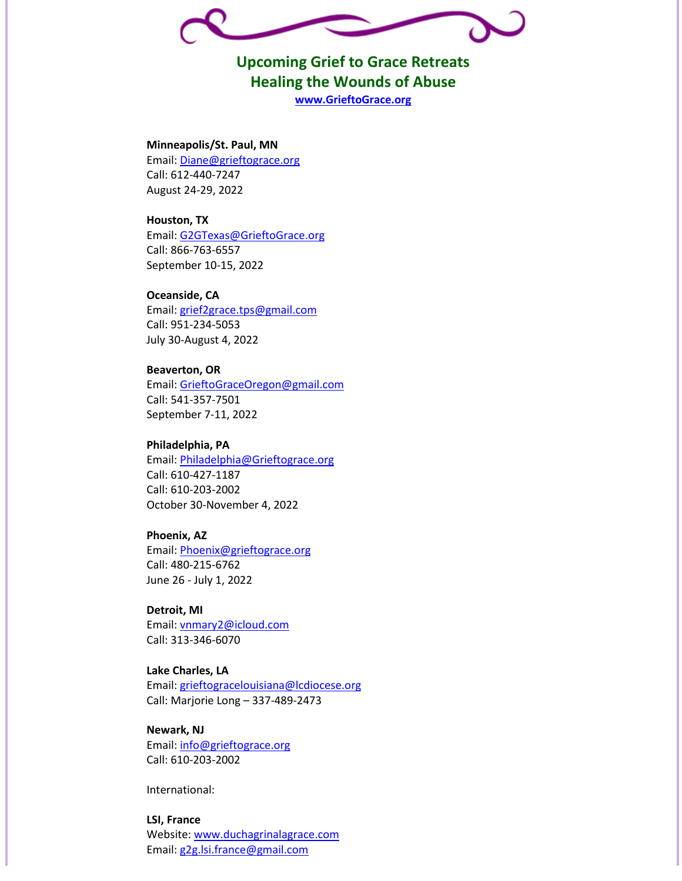<span id="page-11-0"></span>

**Upcoming Grief to Grace Retreats Healing the Wounds of Abuse [www.GrieftoGrace.org](http://grieftograce.org/)**

#### **Minneapolis/St. Paul, MN**

Email[: Diane@grieftograce.org](mailto:Diane@grieftograce.org) Call: 612-440-7247 August 24-29, 2022

#### **Houston, TX**

Email[: G2GTexas@GrieftoGrace.org](mailto:G2GTexas@GrieftoGrace.org) Call: 866-763-6557 September 10-15, 2022

#### **Oceanside, CA**

Email[: grief2grace.tps@gmail.com](mailto:grief2grace.tps@gmail.com) Call: 951-234-5053 July 30-August 4, 2022

#### **Beaverton, OR** Email[: GrieftoGraceOregon@gmail.com](mailto:GrieftoGraceOregon@gmail.com) Call: 541-357-7501 September 7-11, 2022

#### **Philadelphia, PA** Email[: Philadelphia@Grieftograce.org](mailto:Philadelphia@Grieftograce.org) Call: 610-427-1187 Call: 610-203-2002 October 30-November 4, 2022

#### **Phoenix, AZ**

Email[: Phoenix@grieftograce.org](mailto:Phoenix@grieftograce.org) Call: 480-215-6762 June 26 - July 1, 2022

### **Detroit, MI** Email[: vnmary2@icloud.com](mailto:vnmary2@icloud.com)

Call: 313-346-6070

#### **Lake Charles, LA**

Email[: grieftogracelouisiana@lcdiocese.org](mailto:grieftogracelouisiana@lcdiocese.org) Call: Marjorie Long – 337-489-2473

#### **Newark, NJ**

Email[: info@grieftograce.org](mailto:info@grieftograce.org) Call: 610-203-2002

International:

#### **LSI, France**

Website: [www.duchagrinalagrace.com](http://www.duchagrinalagrace.com/) Email[: g2g.lsi.france@gmail.com](mailto:g2g.lsi.france@gmail.com)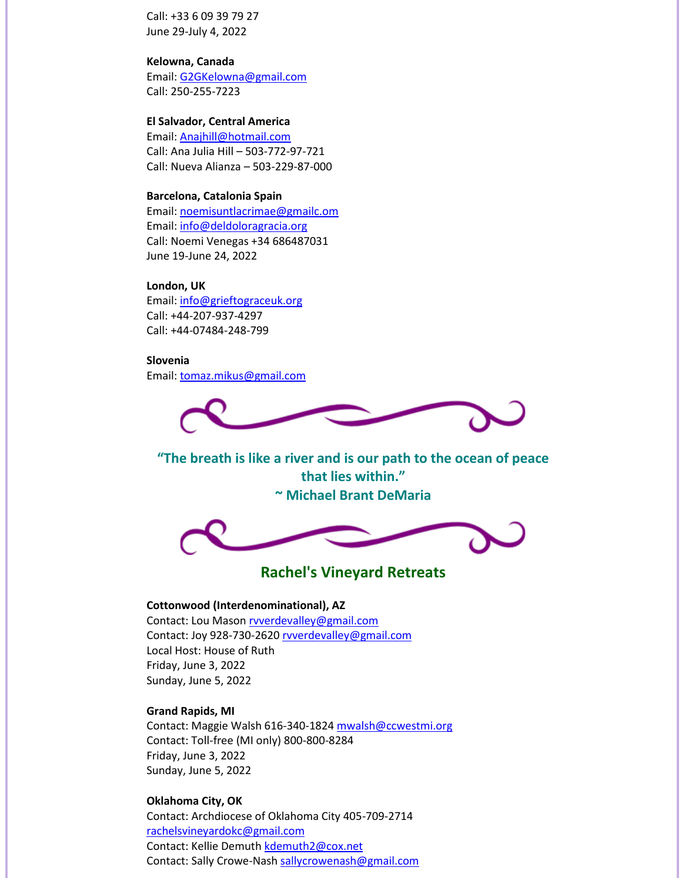Call: +33 6 09 39 79 27 June 29-July 4, 2022

#### **Kelowna, Canada**

Email[: G2GKelowna@gmail.com](mailto:G2GKelowna@gmail.com) Call: 250-255-7223

#### **El Salvador, Central America**

Email[: Anajhill@hotmail.com](mailto:Anajhill@hotmail.com) Call: Ana Julia Hill – 503-772-97-721 Call: Nueva Alianza – 503-229-87-000

#### **Barcelona, Catalonia Spain**

Email[: noemisuntlacrimae@gmailc.om](mailto:noemisuntlacrimae@gmailc.om) Email[: info@deldoloragracia.org](mailto:info@deldoloragracia.org) Call: Noemi Venegas +34 686487031 June 19-June 24, 2022

#### **London, UK**

Email[: info@grieftograceuk.org](mailto:info@grieftograceuk.org) Call: +44-207-937-4297 Call: +44-07484-248-799

#### **Slovenia**

Email[: tomaz.mikus@gmail.com](mailto:tomaz.mikus@gmail.com)



**"The breath is like a river and is our path to the ocean of peace that lies within." ~ Michael Brant DeMaria**



## **Rachel's Vineyard Retreats**

#### <span id="page-12-0"></span>**Cottonwood (Interdenominational), AZ**

Contact: Lou Maso[n rvverdevalley@gmail.com](mailto:rvverdevalley@gmail.com) Contact: Joy 928-730-262[0 rvverdevalley@gmail.com](mailto:rvverdevalley@gmail.com) Local Host: House of Ruth Friday, June 3, 2022 Sunday, June 5, 2022

#### **Grand Rapids, MI**

Contact: Maggie Walsh 616-340-1824 [mwalsh@ccwestmi.org](mailto:mwalsh@ccwestmi.org) Contact: Toll-free (MI only) 800-800-8284 Friday, June 3, 2022 Sunday, June 5, 2022

#### **Oklahoma City, OK**

Contact: Archdiocese of Oklahoma City 405-709-2714 [rachelsvineyardokc@gmail.com](mailto:rachelsvineyardokc@gmail.com) Contact: Kellie Demuth [kdemuth2@cox.net](mailto:kdemuth2@cox.net) Contact: Sally Crowe-Nash [sallycrowenash@gmail.com](mailto:sallycrowenash@gmail.com)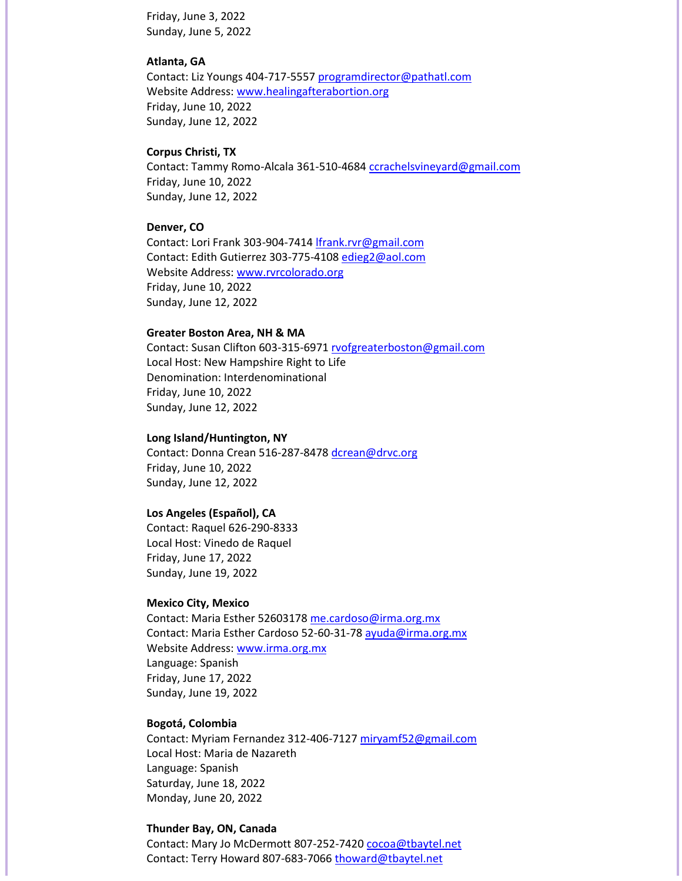Friday, June 3, 2022 Sunday, June 5, 2022

#### **Atlanta, GA**

Contact: Liz Youngs 404-717-555[7 programdirector@pathatl.com](mailto:programdirector@pathatl.com) Website Address: [www.healingafterabortion.org](http://www.healingafterabortion.org/) Friday, June 10, 2022 Sunday, June 12, 2022

#### **Corpus Christi, TX**

Contact: Tammy Romo-Alcala 361-510-4684 [ccrachelsvineyard@gmail.com](mailto:ccrachelsvineyard@gmail.com) Friday, June 10, 2022 Sunday, June 12, 2022

#### **Denver, CO**

Contact: Lori Frank 303-904-741[4 lfrank.rvr@gmail.com](mailto:lfrank.rvr@gmail.com) Contact: Edith Gutierrez 303-775-410[8 edieg2@aol.com](mailto:edieg2@aol.com) Website Address: [www.rvrcolorado.org](http://www.rvrcolorado.org/) Friday, June 10, 2022 Sunday, June 12, 2022

#### **Greater Boston Area, NH & MA**

Contact: Susan Clifton 603-315-697[1 rvofgreaterboston@gmail.com](mailto:rvofgreaterboston@gmail.com) Local Host: New Hampshire Right to Life Denomination: Interdenominational Friday, June 10, 2022 Sunday, June 12, 2022

#### **Long Island/Huntington, NY**

Contact: Donna Crean 516-287-8478 [dcrean@drvc.org](mailto:dcrean@drvc.org) Friday, June 10, 2022 Sunday, June 12, 2022

#### **Los Angeles (Español), CA**

Contact: Raquel 626-290-8333 Local Host: Vinedo de Raquel Friday, June 17, 2022 Sunday, June 19, 2022

#### **Mexico City, Mexico**

Contact: Maria Esther 5260317[8 me.cardoso@irma.org.mx](mailto:me.cardoso@irma.org.mx) Contact: Maria Esther Cardoso 52-60-31-78 [ayuda@irma.org.mx](mailto:ayuda@irma.org.mx) Website Address: [www.irma.org.mx](http://www.irma.org.mx/) Language: Spanish Friday, June 17, 2022 Sunday, June 19, 2022

#### **Bogotá, Colombia**

Contact: Myriam Fernandez 312-406-7127 [miryamf52@gmail.com](mailto:miryamf52@gmail.com) Local Host: Maria de Nazareth Language: Spanish Saturday, June 18, 2022 Monday, June 20, 2022

#### **Thunder Bay, ON, Canada**

Contact: Mary Jo McDermott 807-252-7420 [cocoa@tbaytel.net](mailto:cocoa@tbaytel.net) Contact: Terry Howard 807-683-706[6 thoward@tbaytel.net](mailto:thoward@tbaytel.net)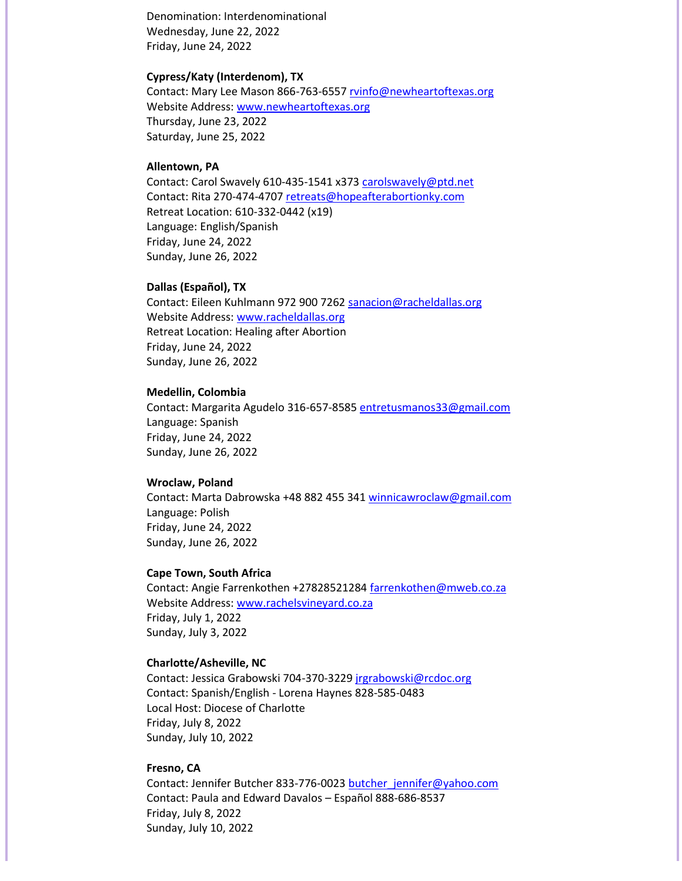Denomination: Interdenominational Wednesday, June 22, 2022 Friday, June 24, 2022

#### **Cypress/Katy (Interdenom), TX**

Contact: Mary Lee Mason 866-763-6557 [rvinfo@newheartoftexas.org](mailto:rvinfo@newheartoftexas.org) Website Address: [www.newheartoftexas.org](http://www.newheartoftexas.org/) Thursday, June 23, 2022 Saturday, June 25, 2022

#### **Allentown, PA**

Contact: Carol Swavely 610-435-1541 x373 [carolswavely@ptd.net](mailto:carolswavely@ptd.net) Contact: Rita 270-474-470[7 retreats@hopeafterabortionky.com](mailto:retreats@hopeafterabortionky.com) Retreat Location: 610-332-0442 (x19) Language: English/Spanish Friday, June 24, 2022 Sunday, June 26, 2022

#### **Dallas (Español), TX**

Contact: Eileen Kuhlmann 972 900 726[2 sanacion@racheldallas.org](mailto:sanacion@racheldallas.org) Website Address: [www.racheldallas.org](http://www.racheldallas.org/) Retreat Location: Healing after Abortion Friday, June 24, 2022 Sunday, June 26, 2022

#### **Medellin, Colombia**

Contact: Margarita Agudelo 316-657-8585 [entretusmanos33@gmail.com](mailto:entretusmanos33@gmail.com) Language: Spanish Friday, June 24, 2022 Sunday, June 26, 2022

#### **Wroclaw, Poland**

Contact: Marta Dabrowska +48 882 455 341 [winnicawroclaw@gmail.com](mailto:winnicawroclaw@gmail.com) Language: Polish Friday, June 24, 2022 Sunday, June 26, 2022

#### **Cape Town, South Africa**

Contact: Angie Farrenkothen +27828521284 [farrenkothen@mweb.co.za](mailto:farrenkothen@mweb.co.za) Website Address: [www.rachelsvineyard.co.za](http://www.rachelsvineyard.co.za/) Friday, July 1, 2022 Sunday, July 3, 2022

#### **Charlotte/Asheville, NC**

Contact: Jessica Grabowski 704-370-3229 [jrgrabowski@rcdoc.org](mailto:jrgrabowski@rcdoc.org) Contact: Spanish/English - Lorena Haynes 828-585-0483 Local Host: Diocese of Charlotte Friday, July 8, 2022 Sunday, July 10, 2022

#### **Fresno, CA**

Contact: Jennifer Butcher 833-776-002[3 butcher\\_jennifer@yahoo.com](mailto:butcher_jennifer@yahoo.com) Contact: Paula and Edward Davalos – Español 888-686-8537 Friday, July 8, 2022 Sunday, July 10, 2022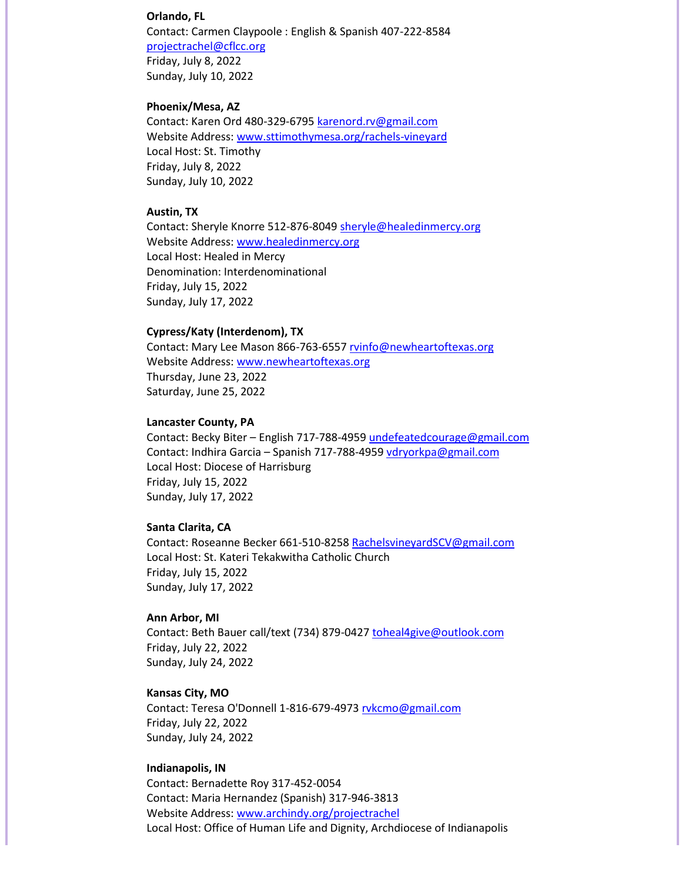#### **Orlando, FL**

Contact: Carmen Claypoole : English & Spanish 407-222-8584 [projectrachel@cflcc.org](mailto:projectrachel@cflcc.org) Friday, July 8, 2022 Sunday, July 10, 2022

#### **Phoenix/Mesa, AZ**

Contact: Karen Ord 480-329-679[5 karenord.rv@gmail.com](mailto:karenord.rv@gmail.com) Website Address: [www.sttimothymesa.org/rachels-vineyard](http://www.sttimothymesa.org/rachels-vineyard) Local Host: St. Timothy Friday, July 8, 2022 Sunday, July 10, 2022

#### **Austin, TX**

Contact: Sheryle Knorre 512-876-8049 [sheryle@healedinmercy.org](mailto:sheryle@healedinmercy.org) Website Address: [www.healedinmercy.org](http://www.healedinmercy.org/) Local Host: Healed in Mercy Denomination: Interdenominational Friday, July 15, 2022 Sunday, July 17, 2022

#### **Cypress/Katy (Interdenom), TX**

Contact: Mary Lee Mason 866-763-6557 [rvinfo@newheartoftexas.org](mailto:rvinfo@newheartoftexas.org) Website Address: [www.newheartoftexas.org](http://www.newheartoftexas.org/) Thursday, June 23, 2022 Saturday, June 25, 2022

#### **Lancaster County, PA**

Contact: Becky Biter – English 717-788-4959 [undefeatedcourage@gmail.com](mailto:undefeatedcourage@gmail.com) Contact: Indhira Garcia – Spanish 717-788-4959 [vdryorkpa@gmail.com](mailto:vdryorkpa@gmail.com) Local Host: Diocese of Harrisburg Friday, July 15, 2022 Sunday, July 17, 2022

#### **Santa Clarita, CA**

Contact: Roseanne Becker 661-510-8258 [RachelsvineyardSCV@gmail.com](mailto:RachelsvineyardSCV@gmail.com) Local Host: St. Kateri Tekakwitha Catholic Church Friday, July 15, 2022 Sunday, July 17, 2022

#### **Ann Arbor, MI**

Contact: Beth Bauer call/text (734) 879-0427 [toheal4give@outlook.com](mailto:toheal4give@outlook.com) Friday, July 22, 2022 Sunday, July 24, 2022

#### **Kansas City, MO**

Contact: Teresa O'Donnell 1-816-679-497[3 rvkcmo@gmail.com](mailto:rvkcmo@gmail.com) Friday, July 22, 2022 Sunday, July 24, 2022

#### **Indianapolis, IN**

Contact: Bernadette Roy 317-452-0054 Contact: Maria Hernandez (Spanish) 317-946-3813 Website Address: [www.archindy.org/projectrachel](http://www.archindy.org/projectrachel) Local Host: Office of Human Life and Dignity, Archdiocese of Indianapolis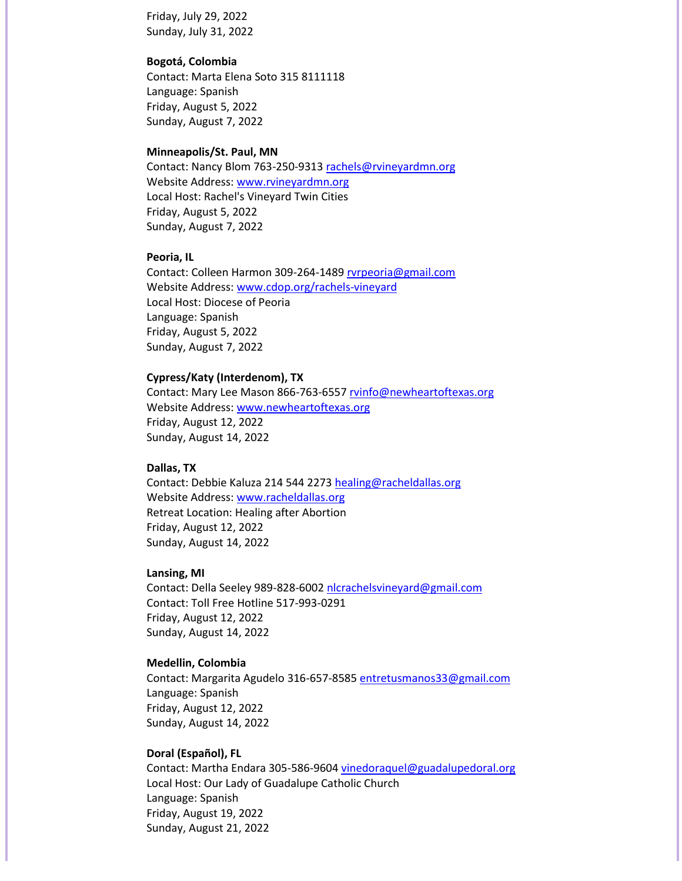Friday, July 29, 2022 Sunday, July 31, 2022

#### **Bogotá, Colombia**

Contact: Marta Elena Soto 315 8111118 Language: Spanish Friday, August 5, 2022 Sunday, August 7, 2022

#### **Minneapolis/St. Paul, MN**

Contact: Nancy Blom 763-250-931[3 rachels@rvineyardmn.org](mailto:rachels@rvineyardmn.org) Website Address: [www.rvineyardmn.org](http://www.rvineyardmn.org/) Local Host: Rachel's Vineyard Twin Cities Friday, August 5, 2022 Sunday, August 7, 2022

#### **Peoria, IL**

Contact: Colleen Harmon 309-264-148[9 rvrpeoria@gmail.com](mailto:rvrpeoria@gmail.com) Website Address: [www.cdop.org/rachels-vineyard](http://www.cdop.org/rachels-vineyard) Local Host: Diocese of Peoria Language: Spanish Friday, August 5, 2022 Sunday, August 7, 2022

#### **Cypress/Katy (Interdenom), TX**

Contact: Mary Lee Mason 866-763-6557 [rvinfo@newheartoftexas.org](mailto:rvinfo@newheartoftexas.org) Website Address: [www.newheartoftexas.org](http://www.newheartoftexas.org/) Friday, August 12, 2022 Sunday, August 14, 2022

#### **Dallas, TX**

Contact: Debbie Kaluza 214 544 227[3 healing@racheldallas.org](mailto:healing@racheldallas.org) Website Address: [www.racheldallas.org](http://www.racheldallas.org/) Retreat Location: Healing after Abortion Friday, August 12, 2022 Sunday, August 14, 2022

#### **Lansing, MI**

Contact: Della Seeley 989-828-6002 [nlcrachelsvineyard@gmail.com](mailto:nlcrachelsvineyard@gmail.com) Contact: Toll Free Hotline 517-993-0291 Friday, August 12, 2022 Sunday, August 14, 2022

#### **Medellin, Colombia**

Contact: Margarita Agudelo 316-657-8585 [entretusmanos33@gmail.com](mailto:entretusmanos33@gmail.com) Language: Spanish Friday, August 12, 2022 Sunday, August 14, 2022

#### **Doral (Español), FL**

Contact: Martha Endara 305-586-9604 [vinedoraquel@guadalupedoral.org](mailto:vinedoraquel@guadalupedoral.org) Local Host: Our Lady of Guadalupe Catholic Church Language: Spanish Friday, August 19, 2022 Sunday, August 21, 2022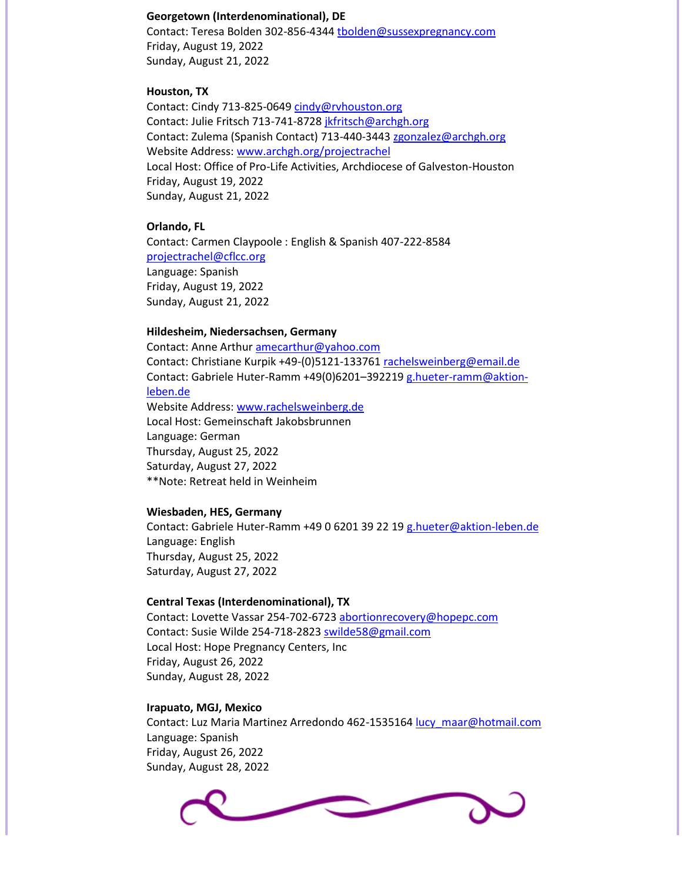#### **Georgetown (Interdenominational), DE**

Contact: Teresa Bolden 302-856-4344 [tbolden@sussexpregnancy.com](mailto:tbolden@sussexpregnancy.com) Friday, August 19, 2022 Sunday, August 21, 2022

#### **Houston, TX**

Contact: Cindy 713-825-0649 [cindy@rvhouston.org](mailto:cindy@rvhouston.org) Contact: Julie Fritsch 713-741-872[8 jkfritsch@archgh.org](mailto:jkfritsch@archgh.org) Contact: Zulema (Spanish Contact) 713-440-3443 [zgonzalez@archgh.org](mailto:zgonzalez@archgh.org) Website Address: [www.archgh.org/projectrachel](http://www.archgh.org/projectrachel) Local Host: Office of Pro-Life Activities, Archdiocese of Galveston-Houston Friday, August 19, 2022 Sunday, August 21, 2022

#### **Orlando, FL**

Contact: Carmen Claypoole : English & Spanish 407-222-8584 [projectrachel@cflcc.org](mailto:projectrachel@cflcc.org) Language: Spanish Friday, August 19, 2022 Sunday, August 21, 2022

#### **Hildesheim, Niedersachsen, Germany**

Contact: Anne Arthu[r amecarthur@yahoo.com](mailto:amecarthur@yahoo.com) Contact: Christiane Kurpik +49-(0)5121-133761 [rachelsweinberg@email.de](mailto:rachelsweinberg@email.de) Contact: Gabriele Huter-Ramm +49(0)6201–392219 [g.hueter-ramm@aktion](mailto:g.hueter-ramm@aktion-leben.de)[leben.de](mailto:g.hueter-ramm@aktion-leben.de) Website Address: [www.rachelsweinberg.de](http://www.rachelsweinberg.de/) Local Host: Gemeinschaft Jakobsbrunnen Language: German Thursday, August 25, 2022 Saturday, August 27, 2022 \*\*Note: Retreat held in Weinheim

#### **Wiesbaden, HES, Germany**

Contact: Gabriele Huter-Ramm +49 0 6201 39 22 19 [g.hueter@aktion-leben.de](mailto:g.hueter@aktion-leben.de) Language: English Thursday, August 25, 2022 Saturday, August 27, 2022

#### **Central Texas (Interdenominational), TX**

Contact: Lovette Vassar 254-702-672[3 abortionrecovery@hopepc.com](mailto:abortionrecovery@hopepc.com) Contact: Susie Wilde 254-718-2823 [swilde58@gmail.com](mailto:swilde58@gmail.com) Local Host: Hope Pregnancy Centers, Inc Friday, August 26, 2022 Sunday, August 28, 2022

#### **Irapuato, MGJ, Mexico**

Contact: Luz Maria Martinez Arredondo 462-1535164 [lucy\\_maar@hotmail.com](mailto:lucy_maar@hotmail.com) Language: Spanish Friday, August 26, 2022 Sunday, August 28, 2022